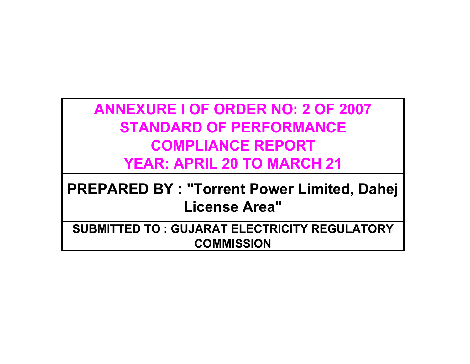**ANNEXURE I OF ORDER NO: 2 OF 2007 STANDARD OF PERFORMANCE COMPLIANCE REPORT YEAR: APRIL 20 TO MARCH 21**

**PREPARED BY : "Torrent Power Limited, Dahej License Area"**

**SUBMITTED TO : GUJARAT ELECTRICITY REGULATORY COMMISSION**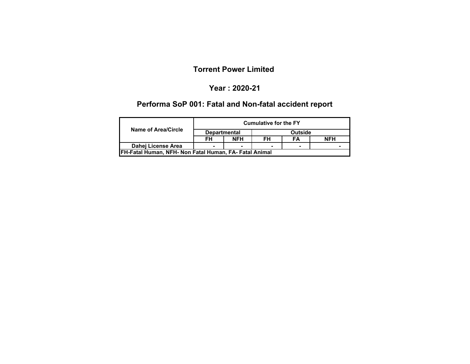#### **Year : 2020-21**

# **Performa SoP 001: Fatal and Non-fatal accident report**

|                                                                |                     |            | <b>Cumulative for the FY</b> |         |            |
|----------------------------------------------------------------|---------------------|------------|------------------------------|---------|------------|
| Name of Area/Circle                                            | <b>Departmental</b> |            |                              | Outside |            |
|                                                                | FН                  | <b>NFH</b> | FH                           | FΑ      | <b>NFH</b> |
| Dahei License Area                                             |                     |            |                              |         |            |
| <b>IFH-Fatal Human, NFH- Non Fatal Human, FA- Fatal Animal</b> |                     |            |                              |         |            |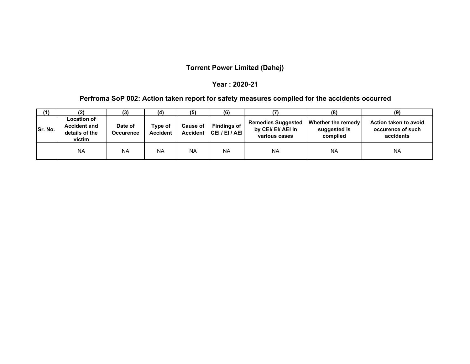### **Torrent Power Limited (Dahej)**

#### **Year : 2020-21**

### **Perfroma SoP 002: Action taken report for safety measures complied for the accidents occurred**

| (1)             | (2)                                                                   | (3)                  | (4)                        | (5)                         | (6)                              |                                                                  | (8)                                                   | (9)                                                     |
|-----------------|-----------------------------------------------------------------------|----------------------|----------------------------|-----------------------------|----------------------------------|------------------------------------------------------------------|-------------------------------------------------------|---------------------------------------------------------|
| <b>ISr. No.</b> | <b>Location of</b><br><b>Accident and</b><br>details of the<br>victim | Date of<br>Occurence | Type of<br><b>Accident</b> | Cause of<br><b>Accident</b> | <b>Findings of</b><br> CH/EI/AEI | <b>Remedies Suggested</b><br>by CEI/ EI/ AEI in<br>various cases | <b>Whether the remedy</b><br>suggested is<br>complied | Action taken to avoid<br>occurence of such<br>accidents |
|                 | <b>NA</b>                                                             | <b>NA</b>            | <b>NA</b>                  | <b>NA</b>                   | <b>NA</b>                        | <b>NA</b>                                                        | <b>NA</b>                                             | <b>NA</b>                                               |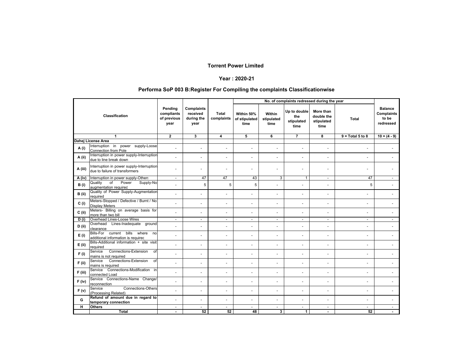#### **Year : 2020-21**

#### **Performa SoP 003 B:Register For Compiling the complaints Classificationwise**

|                     |                                                                               |                                              |                                              |                          | No. of complaints redressed during the year |                              |                                           |                                               |                          |                                                    |
|---------------------|-------------------------------------------------------------------------------|----------------------------------------------|----------------------------------------------|--------------------------|---------------------------------------------|------------------------------|-------------------------------------------|-----------------------------------------------|--------------------------|----------------------------------------------------|
|                     | Classification                                                                | Pending<br>compliants<br>of previous<br>year | Complaints<br>received<br>during the<br>year | Total<br>complaints      | Within 50%<br>of stipulated<br>time         | Within<br>stipulated<br>time | Up to double<br>the<br>stipulated<br>time | More than<br>double the<br>stipulated<br>time | <b>Total</b>             | <b>Balance</b><br>Complaints<br>to be<br>redressed |
|                     | $\mathbf{1}$                                                                  | $\overline{2}$                               | $\mathbf{3}$                                 | 4                        | 5                                           | 6                            | $\overline{7}$                            | 8                                             | $9 = Total 5 to 8$       | $10 = (4 - 9)$                                     |
|                     | Dahej License Area                                                            |                                              |                                              |                          |                                             |                              |                                           |                                               |                          |                                                    |
| A(i)                | Interruption in power supply-Loose<br>Connection from Pole                    |                                              | $\sim$                                       | ÷.                       | ÷.                                          | $\overline{a}$               | $\overline{\phantom{a}}$                  | $\overline{\phantom{a}}$                      | $\overline{\phantom{a}}$ |                                                    |
| A (ii)              | Interruption in power supply-Interruption<br>due to line break down           |                                              | $\overline{a}$                               | ÷.                       | ÷                                           | ٠                            | ÷.                                        | ÷.                                            |                          |                                                    |
| A (iii)             | Interruption in power supply-Interruption<br>due to failure of transformers   |                                              |                                              | $\ddot{\phantom{1}}$     |                                             |                              |                                           |                                               |                          |                                                    |
| $\overline{A (iv)}$ | Interruption in power supply-Others                                           | $\blacksquare$                               | 47                                           | 47                       | 43                                          | 3                            | $\mathbf{1}$                              | $\sim$                                        | 47                       | $\sim$                                             |
| B(i)                | Quality<br>$\overline{of}$<br>Power<br>Supply-No<br>augmentation required     |                                              | 5                                            | 5                        | 5                                           |                              |                                           | $\sim$                                        | 5                        |                                                    |
| B (ii)              | Quality of Power Supply-Augmentation<br>required                              |                                              |                                              | ÷.                       | ٠                                           | ä,                           | $\ddot{\phantom{1}}$                      | $\sim$                                        |                          |                                                    |
| C(i)                | Meters-Stopped / Defective / Burnt / No<br><b>Display Meters</b>              |                                              | ÷.                                           | ä,                       | ÷.                                          | ٠                            | $\blacksquare$                            | $\blacksquare$                                | $\ddot{\phantom{1}}$     | $\sim$                                             |
| $C$ (ii)            | Meters- Billing on average basis for<br>more than two bill                    |                                              | $\overline{a}$                               | ÷.                       | ÷.                                          | $\overline{a}$               | $\ddot{\phantom{1}}$                      | $\sim$                                        | $\ddot{\phantom{1}}$     |                                                    |
| D(i)                | Overhead Lines-Loose Wires                                                    | $\overline{\phantom{a}}$                     | $\overline{\phantom{a}}$                     | $\overline{\phantom{a}}$ | $\sim$                                      | $\blacksquare$               | $\overline{\phantom{a}}$                  | $\overline{\phantom{a}}$                      | $\sim$                   | $\sim$                                             |
| D(i)                | Overhead Lines-Inadequate ground<br>clearance                                 |                                              | $\blacksquare$                               | ä,                       | ٠                                           | ٠                            | $\blacksquare$                            | $\blacksquare$                                | $\overline{\phantom{a}}$ | $\sim$                                             |
| E(i)                | Bills-For current bills<br>where<br>nol<br>additional information is required | $\blacksquare$                               | $\blacksquare$                               | $\blacksquare$           | ÷.                                          | ٠                            | $\blacksquare$                            | $\blacksquare$                                | $\overline{\phantom{a}}$ | $\sim$                                             |
| $E$ (ii)            | Bills-Additional information + site visit<br>required                         |                                              | $\sim$                                       | ÷.                       | $\sim$                                      | $\blacksquare$               | $\blacksquare$                            | $\blacksquare$                                | $\sim$                   |                                                    |
| F(i)                | Connections-Extension<br>Service<br>of<br>mains is not required               |                                              |                                              | ÷.                       |                                             | ä,                           | $\ddot{\phantom{1}}$                      |                                               |                          |                                                    |
| $F$ (ii)            | Connections-Extension<br>Service<br>of<br>mains is required                   |                                              |                                              | ä,                       | ٠                                           | ä,                           | $\ddot{\phantom{1}}$                      | $\sim$                                        | $\ddot{\phantom{1}}$     |                                                    |
| F (iii)             | Connections-Modification in<br>Service<br>connected Load                      |                                              | $\overline{a}$                               | ÷.                       | ÷                                           | $\overline{a}$               |                                           | $\sim$                                        | ÷,                       | ÷.                                                 |
| $F$ (iv)            | Service Connections-Name Change/<br>reconnection                              | $\blacksquare$                               | $\blacksquare$                               | ä,                       | ä,                                          | ٠                            | $\blacksquare$                            | $\blacksquare$                                | $\blacksquare$           |                                                    |
| F(v)                | <b>Connections-Others</b><br>Service<br>(Processing Related)                  |                                              | ÷.                                           | ÷.                       | ÷                                           | $\blacksquare$               | $\blacksquare$                            | $\sim$                                        | $\sim$                   |                                                    |
| G                   | Refund of amount due in regard to<br>temporary connection                     |                                              | $\overline{\phantom{a}}$                     | ÷.                       | ÷.                                          | $\overline{a}$               | $\ddot{\phantom{1}}$                      | $\sim$                                        | $\overline{a}$           |                                                    |
| H                   | <b>Others</b>                                                                 |                                              |                                              |                          | ٠                                           | $\mathbf{r}$                 | $\ddot{\phantom{1}}$                      | $\sim$                                        |                          |                                                    |
|                     | <b>Total</b>                                                                  | $\overline{\phantom{a}}$                     | 52                                           | 52                       | 48                                          | 3                            | $\mathbf{1}$                              | $\blacksquare$                                | 52                       |                                                    |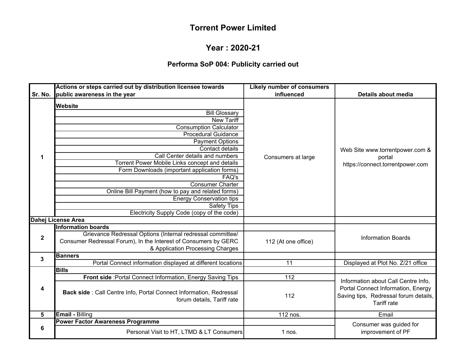#### **Year : 2020-21**

# **Performa SoP 004: Publicity carried out**

|             | Actions or steps carried out by distribution licensee towards                                                                                                                                                                                                                                                                                                                                                                                                                                                 | <b>Likely number of consumers</b> |                                                                                                   |
|-------------|---------------------------------------------------------------------------------------------------------------------------------------------------------------------------------------------------------------------------------------------------------------------------------------------------------------------------------------------------------------------------------------------------------------------------------------------------------------------------------------------------------------|-----------------------------------|---------------------------------------------------------------------------------------------------|
| Sr. No.     | public awareness in the year                                                                                                                                                                                                                                                                                                                                                                                                                                                                                  | influenced                        | Details about media                                                                               |
| 1           | <b>Website</b><br><b>Bill Glossary</b><br><b>New Tariff</b><br><b>Consumption Calculator</b><br><b>Procedural Guidance</b><br><b>Payment Options</b><br>Contact details<br>Call Center details and numbers<br>Torrent Power Mobile Links concept and details<br>Form Downloads (important application forms)<br>FAQ's<br><b>Consumer Charter</b><br>Online Bill Payment (how to pay and related forms)<br><b>Energy Conservation tips</b><br><b>Safety Tips</b><br>Electricity Supply Code (copy of the code) | Consumers at large                | Web Site www.torrentpower.com &<br>portal<br>https://connect.torrentpower.com                     |
|             | Dahej License Area                                                                                                                                                                                                                                                                                                                                                                                                                                                                                            |                                   |                                                                                                   |
| $\mathbf 2$ | <b>Information boards</b><br>Grievance Redressal Options (Internal redressal committee/<br>Consumer Redressal Forum), In the Interest of Consumers by GERC<br>& Application Processing Charges                                                                                                                                                                                                                                                                                                                | 112 (At one office)               | <b>Information Boards</b>                                                                         |
| 3           | <b>Banners</b>                                                                                                                                                                                                                                                                                                                                                                                                                                                                                                |                                   |                                                                                                   |
|             | Portal Connect information displayed at different locations                                                                                                                                                                                                                                                                                                                                                                                                                                                   | $\overline{11}$                   | Displayed at Plot No. Z/21 office                                                                 |
|             | <b>Bills</b><br>Front side : Portal Connect Information, Energy Saving Tips                                                                                                                                                                                                                                                                                                                                                                                                                                   | 112                               | Information about Call Centre Info.                                                               |
| 4           | Back side : Call Centre Info, Portal Connect Information, Redressal<br>forum details, Tariff rate                                                                                                                                                                                                                                                                                                                                                                                                             | 112                               | Portal Connect Information, Energy<br>Saving tips, Redressal forum details,<br><b>Tariff rate</b> |
| 5           | <b>Email - Billing</b>                                                                                                                                                                                                                                                                                                                                                                                                                                                                                        | 112 nos.                          | Email                                                                                             |
|             | <b>Power Factor Awareness Programme</b>                                                                                                                                                                                                                                                                                                                                                                                                                                                                       |                                   | Consumer was guided for                                                                           |
| 6           | Personal Visit to HT, LTMD & LT Consumers                                                                                                                                                                                                                                                                                                                                                                                                                                                                     | 1 nos.                            | improvement of PF                                                                                 |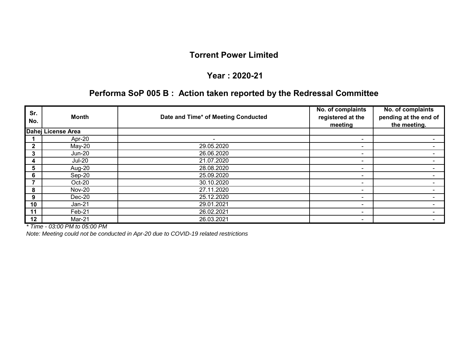#### **Year : 2020-21**

# **Performa SoP 005 B : Action taken reported by the Redressal Committee**

| Sr.<br>No.   | Month              | Date and Time* of Meeting Conducted | No. of complaints<br>registered at the<br>meeting | No. of complaints<br>pending at the end of<br>the meeting. |
|--------------|--------------------|-------------------------------------|---------------------------------------------------|------------------------------------------------------------|
|              | Dahej License Area |                                     |                                                   |                                                            |
|              | Apr-20             |                                     | ۰.                                                |                                                            |
| $\mathbf{2}$ | $May-20$           | 29.05.2020                          | $\sim$                                            |                                                            |
| 3            | <b>Jun-20</b>      | 26.06.2020                          | ۰                                                 |                                                            |
| 4            | <b>Jul-20</b>      | 21.07.2020                          | ۰                                                 |                                                            |
| 5            | Aug-20             | 28.08.2020                          | ۰                                                 |                                                            |
| 6            | Sep-20             | 25.09.2020                          | ۰                                                 |                                                            |
|              | Oct-20             | 30.10.2020                          | ۰                                                 |                                                            |
| 8            | <b>Nov-20</b>      | 27.11.2020                          | ۰                                                 |                                                            |
| 9            | Dec-20             | 25.12.2020                          | ۰                                                 |                                                            |
| 10           | $Jan-21$           | 29.01.2021                          | ۰                                                 |                                                            |
| 11           | Feb-21             | 26.02.2021                          | ۰                                                 |                                                            |
| 12           | Mar-21             | 26.03.2021                          | ۰                                                 |                                                            |

*\* Time - 03:00 PM to 05:00 PM*

*Note: Meeting could not be conducted in Apr-20 due to COVID-19 related restrictions*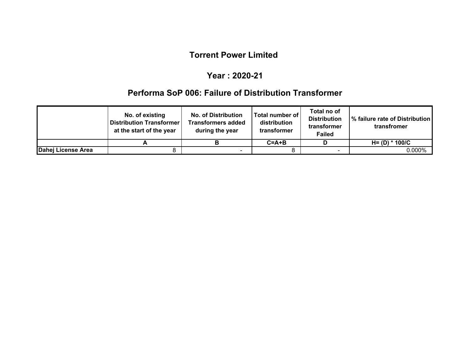#### **Year : 2020-21**

### **Performa SoP 006: Failure of Distribution Transformer**

|                    | No. of existing<br><b>Distribution Transformer</b><br>at the start of the year | <b>No. of Distribution</b><br><b>Transformers added</b><br>during the year | Total number of<br>distribution<br>transformer | Total no of<br><b>Distribution</b><br>transformer<br><b>Failed</b> | 1% failure rate of Distribution<br>transfromer |
|--------------------|--------------------------------------------------------------------------------|----------------------------------------------------------------------------|------------------------------------------------|--------------------------------------------------------------------|------------------------------------------------|
|                    |                                                                                |                                                                            | $C = A + B$                                    |                                                                    | H= (D) * 100/C                                 |
| Dahej License Area |                                                                                |                                                                            |                                                |                                                                    | $0.000\%$                                      |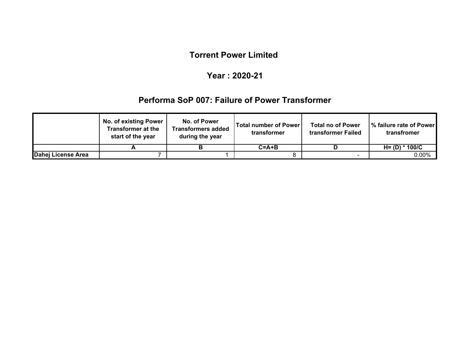#### **Year : 2020-21**

### **Performa SoP 007: Failure of Power Transformer**

|                    | <b>No. of existing Power</b><br>Transformer at the<br>start of the year | No. of Power<br><b>Transformers added</b><br>during the year | <b>Total number of Power!</b><br>transformer | <b>Total no of Power</b><br>transformer Failed | Ⅰ% failure rate of Power<br>transfromer |
|--------------------|-------------------------------------------------------------------------|--------------------------------------------------------------|----------------------------------------------|------------------------------------------------|-----------------------------------------|
|                    |                                                                         |                                                              | $C = A + B$                                  |                                                | $H = (D) * 100/C$                       |
| Dahej License Area |                                                                         |                                                              |                                              | $\sim$                                         | $0.00\%$                                |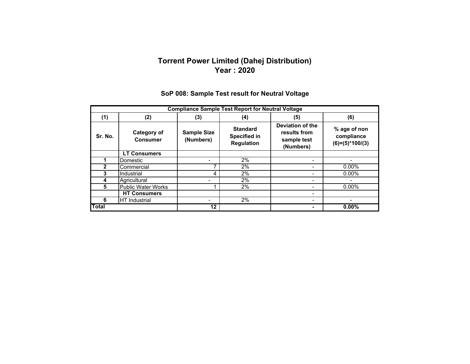#### **Torrent Power Limited (Dahej Distribution) Year : 2020**

| <b>Compliance Sample Test Report for Neutral Voltage</b> |                                |                                 |                                                             |                                                              |                                                 |  |
|----------------------------------------------------------|--------------------------------|---------------------------------|-------------------------------------------------------------|--------------------------------------------------------------|-------------------------------------------------|--|
| (1)                                                      | (2)                            | (3)                             | (4)                                                         | (5)                                                          | (6)                                             |  |
| Sr. No.                                                  | Category of<br><b>Consumer</b> | <b>Sample Size</b><br>(Numbers) | <b>Standard</b><br><b>Specified in</b><br><b>Regulation</b> | Deviation of the<br>results from<br>sample test<br>(Numbers) | % age of non<br>compliance<br>$(6)=(5)*100/(3)$ |  |
|                                                          | <b>LT Consumers</b>            |                                 |                                                             |                                                              |                                                 |  |
|                                                          | Domestic                       |                                 | 2%                                                          | -                                                            |                                                 |  |
| $\overline{2}$                                           | Commercial                     |                                 | 2%                                                          |                                                              | 0.00%                                           |  |
| 3                                                        | Industrial                     | 4                               | 2%                                                          | -                                                            | $0.00\%$                                        |  |
| 4                                                        | Agricultural                   |                                 | 2%                                                          | -                                                            |                                                 |  |
| 5                                                        | <b>Public Water Works</b>      |                                 | 2%                                                          |                                                              | $0.00\%$                                        |  |
|                                                          | <b>HT Consumers</b>            |                                 |                                                             | $\overline{\phantom{0}}$                                     |                                                 |  |
| 6                                                        | <b>HT</b> Industrial           |                                 | 2%                                                          | -                                                            |                                                 |  |
| Total                                                    |                                | 12                              |                                                             |                                                              | 0.00%                                           |  |

### **SoP 008: Sample Test result for Neutral Voltage**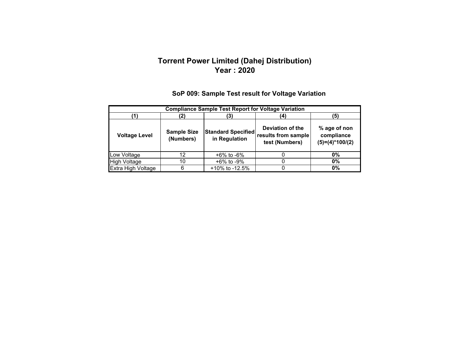#### **Torrent Power Limited (Dahej Distribution) Year : 2020**

|                      | <b>Compliance Sample Test Report for Voltage Variation</b> |                                            |                                                           |                                                 |  |  |  |  |  |
|----------------------|------------------------------------------------------------|--------------------------------------------|-----------------------------------------------------------|-------------------------------------------------|--|--|--|--|--|
|                      | '5)<br>2)<br>3)                                            |                                            |                                                           |                                                 |  |  |  |  |  |
| <b>Voltage Level</b> | <b>Sample Size</b><br>(Numbers)                            | <b>Standard Specified</b><br>in Regulation | Deviation of the<br>results from sample<br>test (Numbers) | % age of non<br>compliance<br>$(5)=(4)*100/(2)$ |  |  |  |  |  |
| Low Voltage          | 12                                                         | +6% to -6%                                 |                                                           | $0\%$                                           |  |  |  |  |  |
| <b>High Voltage</b>  | 10                                                         | +6% to -9%                                 |                                                           | $0\%$                                           |  |  |  |  |  |
| Extra High Voltage   | 6                                                          | $+10\%$ to -12.5%                          |                                                           | 0%                                              |  |  |  |  |  |

### **SoP 009: Sample Test result for Voltage Variation**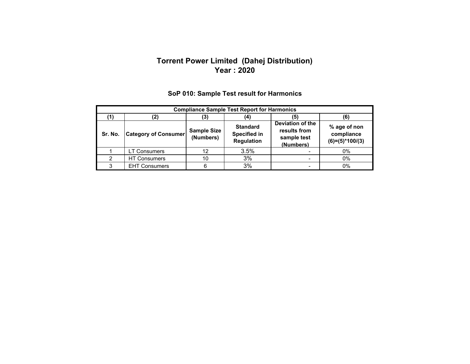#### **Torrent Power Limited (Dahej Distribution) Year : 2020**

|         | <b>Compliance Sample Test Report for Harmonics</b> |                                 |                                                             |                                                              |                                                 |  |  |  |
|---------|----------------------------------------------------|---------------------------------|-------------------------------------------------------------|--------------------------------------------------------------|-------------------------------------------------|--|--|--|
|         | (2)                                                | (3)                             |                                                             | (5)                                                          |                                                 |  |  |  |
| Sr. No. | <b>Category of Consumer</b>                        | <b>Sample Size</b><br>(Numbers) | <b>Standard</b><br><b>Specified in</b><br><b>Regulation</b> | Deviation of the<br>results from<br>sample test<br>(Numbers) | % age of non<br>compliance<br>$(6)=(5)*100/(3)$ |  |  |  |
|         | <b>LT Consumers</b>                                | 12                              | 3.5%                                                        |                                                              | 0%                                              |  |  |  |
| 2       | <b>HT Consumers</b>                                | 10                              | 3%                                                          | -                                                            | 0%                                              |  |  |  |
| ົ       | <b>EHT Consumers</b>                               | 6                               | 3%                                                          | $\blacksquare$                                               | $0\%$                                           |  |  |  |

### **SoP 010: Sample Test result for Harmonics**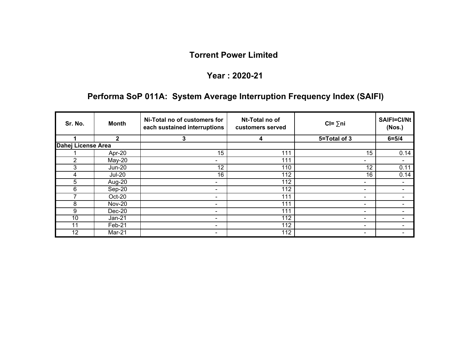#### **Year : 2020-21**

# **Performa SoP 011A: System Average Interruption Frequency Index (SAIFI)**

| Sr. No.            | <b>Month</b>  | Ni-Total no of customers for<br>each sustained interruptions | Nt-Total no of<br>customers served | $Cl = \sum n_i$          | <b>SAIFI=CI/Nt</b><br>(Nos.) |
|--------------------|---------------|--------------------------------------------------------------|------------------------------------|--------------------------|------------------------------|
|                    | $\mathbf{2}$  | 3                                                            | 4                                  | 5=Total of 3             | $6 = 5/4$                    |
| Dahej License Area |               |                                                              |                                    |                          |                              |
|                    | Apr-20        | 15                                                           | 111                                | 15                       | 0.14                         |
| 2                  | $May-20$      | ۰                                                            | 111                                | -                        |                              |
| 3                  | <b>Jun-20</b> | 12                                                           | 110                                | 12                       | 0.11                         |
| 4                  | <b>Jul-20</b> | 16                                                           | 112                                | 16                       | 0.14                         |
| 5                  | Aug-20        | ٠                                                            | 112                                | $\overline{\phantom{a}}$ | $\blacksquare$               |
| 6                  | Sep-20        | ٠                                                            | 112                                | ۰                        | $\blacksquare$               |
|                    | Oct-20        |                                                              | 111                                | $\overline{\phantom{a}}$ |                              |
| 8                  | <b>Nov-20</b> | ٠                                                            | 111                                | $\sim$                   |                              |
| 9                  | $Dec-20$      | ٠                                                            | 111                                | ٠                        |                              |
| 10                 | $Jan-21$      | ٠                                                            | 112                                | $\sim$                   |                              |
| 11                 | Feb-21        | ٠                                                            | 112                                | $\sim$                   |                              |
| 12                 | Mar-21        |                                                              | 112                                | ۰                        |                              |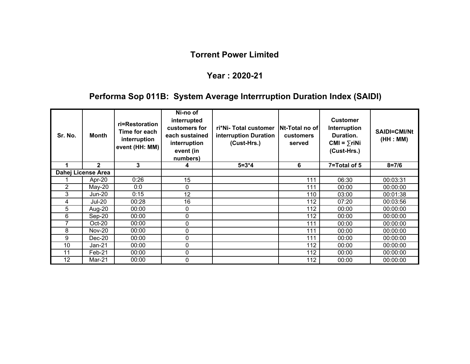#### **Year : 2020-21**

# **Performa Sop 011B: System Average Interrruption Duration Index (SAIDI)**

| Sr. No.        | Month              | ri=Restoration<br>Time for each<br>interruption<br>event (HH: MM) | Ni-no of<br>interrupted<br>customers for<br>each sustained<br>interruption<br>event (in<br>numbers) | ri*Ni-Total customer<br>interruption Duration<br>(Cust-Hrs.) | Nt-Total no of<br><b>customers</b><br>served | <b>Customer</b><br>Interruption<br>Duration.<br>$CMI = \sum r i Ni$<br>(Cust-Hrs.) | <b>SAIDI=CMI/Nt</b><br>(HH : MM) |
|----------------|--------------------|-------------------------------------------------------------------|-----------------------------------------------------------------------------------------------------|--------------------------------------------------------------|----------------------------------------------|------------------------------------------------------------------------------------|----------------------------------|
|                | $\mathbf{2}$       | 3                                                                 |                                                                                                     | $5 = 3*4$                                                    | 6                                            | 7=Total of 5                                                                       | $8 = 7/6$                        |
|                | Dahej License Area |                                                                   |                                                                                                     |                                                              |                                              |                                                                                    |                                  |
|                | Apr-20             | 0:26                                                              | 15                                                                                                  |                                                              | 111                                          | 06:30                                                                              | 00:03:31                         |
| $\overline{c}$ | $May-20$           | 0:0                                                               | 0                                                                                                   |                                                              | 111                                          | 00:00                                                                              | 00:00:00                         |
| 3              | Jun-20             | 0:15                                                              | 12                                                                                                  |                                                              | 110                                          | 03:00                                                                              | 00:01:38                         |
| 4              | <b>Jul-20</b>      | 00:28                                                             | 16                                                                                                  |                                                              | 112                                          | 07:20                                                                              | 00:03:56                         |
| 5              | Aug-20             | 00:00                                                             | 0                                                                                                   |                                                              | 112                                          | 00:00                                                                              | 00:00:00                         |
| 6              | Sep-20             | 00:00                                                             | 0                                                                                                   |                                                              | 112                                          | 00:00                                                                              | 00:00:00                         |
| 7              | Oct-20             | 00:00                                                             | 0                                                                                                   |                                                              | 111                                          | 00:00                                                                              | 00:00:00                         |
| 8              | <b>Nov-20</b>      | 00:00                                                             | 0                                                                                                   |                                                              | 111                                          | 00:00                                                                              | 00:00:00                         |
| 9              | $Dec-20$           | 00:00                                                             | 0                                                                                                   |                                                              | 111                                          | 00:00                                                                              | 00:00:00                         |
| 10             | Jan-21             | 00:00                                                             | 0                                                                                                   |                                                              | 112                                          | 00:00                                                                              | 00:00:00                         |
| 11             | Feb-21             | 00:00                                                             | 0                                                                                                   |                                                              | 112                                          | 00:00                                                                              | 00:00:00                         |
| 12             | Mar-21             | 00:00                                                             | 0                                                                                                   |                                                              | 112                                          | 00:00                                                                              | 00:00:00                         |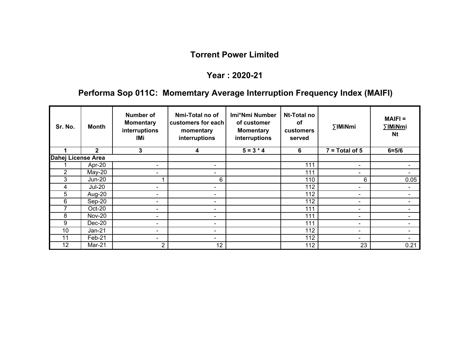#### **Year : 2020-21**

# **Performa Sop 011C: Momemtary Average Interruption Frequency Index (MAIFI)**

| Sr. No.            | Month         | Number of<br><b>Momentary</b><br>interruptions<br>IMi | Nmi-Total no of<br>customers for each<br>momentary<br>interruptions | Imi*Nmi Number<br>of customer<br><b>Momentary</b><br>interruptions | Nt-Total no<br>оf<br><b>customers</b><br>served | ∑IMiNmi                  | $MAIFI =$<br>∑IMiNmi<br><b>Nt</b> |
|--------------------|---------------|-------------------------------------------------------|---------------------------------------------------------------------|--------------------------------------------------------------------|-------------------------------------------------|--------------------------|-----------------------------------|
|                    | $\mathbf{2}$  | 3                                                     | 4                                                                   | $5 = 3 * 4$                                                        | 6                                               | $7 = Total of 5$         | $6 = 5/6$                         |
| Dahej License Area |               |                                                       |                                                                     |                                                                    |                                                 |                          |                                   |
|                    | Apr-20        | $\overline{\phantom{0}}$                              | $\blacksquare$                                                      |                                                                    | 111                                             | $\overline{\phantom{a}}$ |                                   |
| $\overline{2}$     | $May-20$      | $\blacksquare$                                        | $\overline{\phantom{0}}$                                            |                                                                    | 111                                             | $\overline{\phantom{0}}$ |                                   |
| 3                  | Jun-20        |                                                       | 6                                                                   |                                                                    | 110                                             | 6                        | 0.05                              |
| 4                  | <b>Jul-20</b> | $\blacksquare$                                        | $\blacksquare$                                                      |                                                                    | 112                                             | $\overline{\phantom{a}}$ | $\blacksquare$                    |
| 5                  | Aug-20        | $\overline{\phantom{0}}$                              | $\blacksquare$                                                      |                                                                    | 112                                             | $\overline{\phantom{a}}$ | $\blacksquare$                    |
| 6                  | Sep-20        | $\overline{\phantom{0}}$                              | $\sim$                                                              |                                                                    | 112                                             | $\blacksquare$           | $\overline{\phantom{0}}$          |
|                    | Oct-20        | $\blacksquare$                                        | $\blacksquare$                                                      |                                                                    | 111                                             | ۰                        |                                   |
| 8                  | <b>Nov-20</b> | ۰                                                     | $\blacksquare$                                                      |                                                                    | 111                                             | $\overline{\phantom{a}}$ |                                   |
| 9                  | $Dec-20$      | $\overline{\phantom{0}}$                              | $\blacksquare$                                                      |                                                                    | 111                                             | $\overline{\phantom{0}}$ |                                   |
| 10                 | $Jan-21$      | $\blacksquare$                                        | $\overline{\phantom{0}}$                                            |                                                                    | 112                                             | $\overline{\phantom{0}}$ |                                   |
| 11                 | Feb-21        | $\overline{\phantom{0}}$                              | -                                                                   |                                                                    | 112                                             | $\blacksquare$           |                                   |
| 12                 | Mar-21        | 2                                                     | 12                                                                  |                                                                    | 112                                             | 23                       | 0.21                              |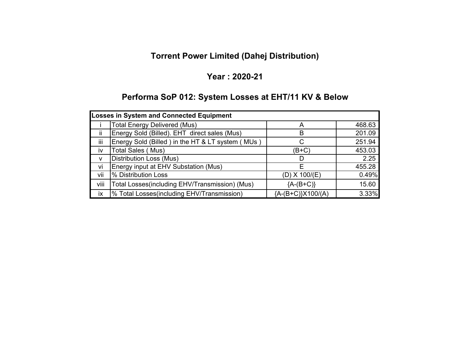# **Torrent Power Limited (Dahej Distribution)**

#### **Year : 2020-21**

# **Performa SoP 012: System Losses at EHT/11 KV & Below**

| Losses in System and Connected Equipment |                                                  |                     |        |  |  |  |  |
|------------------------------------------|--------------------------------------------------|---------------------|--------|--|--|--|--|
|                                          | <b>Total Energy Delivered (Mus)</b>              |                     | 468.63 |  |  |  |  |
| ii                                       | Energy Sold (Billed). EHT direct sales (Mus)     | В                   | 201.09 |  |  |  |  |
| iii                                      | Energy Sold (Billed) in the HT & LT system (MUs) |                     | 251.94 |  |  |  |  |
| <b>IV</b>                                | <b>Total Sales (Mus)</b>                         | (B+C)               | 453.03 |  |  |  |  |
| v                                        | <b>Distribution Loss (Mus)</b>                   |                     | 2.25   |  |  |  |  |
| vi                                       | Energy input at EHV Substation (Mus)             | E                   | 455.28 |  |  |  |  |
| vii                                      | % Distribution Loss                              | $(D)$ X 100/ $(E)$  | 0.49%  |  |  |  |  |
| viii                                     | Total Losses(including EHV/Transmission) (Mus)   | ${A-(B+C)}$         | 15.60  |  |  |  |  |
| ix                                       | % Total Losses(including EHV/Transmission)       | ${A-(B+C)}X100/(A)$ | 3.33%  |  |  |  |  |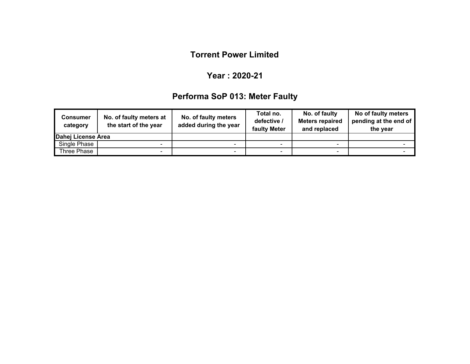#### **Year : 2020-21**

# **Performa SoP 013: Meter Faulty**

| <b>Consumer</b><br>category | No. of faulty meters at<br>the start of the year | No. of faulty meters<br>added during the year | Total no.<br>defective /<br>faulty Meter | No. of faulty<br><b>Meters repaired</b><br>and replaced | No of faulty meters<br>pending at the end of<br>the year |
|-----------------------------|--------------------------------------------------|-----------------------------------------------|------------------------------------------|---------------------------------------------------------|----------------------------------------------------------|
| Dahej License Area          |                                                  |                                               |                                          |                                                         |                                                          |
| Single Phase                | -                                                | -                                             |                                          |                                                         |                                                          |
| Three Phase                 |                                                  | -                                             |                                          |                                                         |                                                          |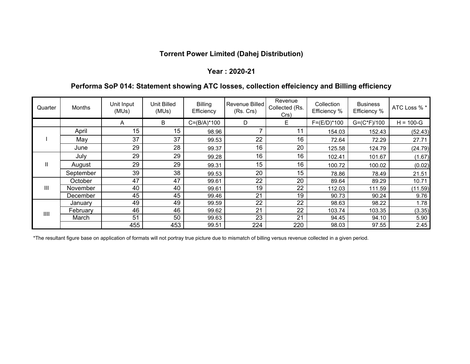### **Torrent Power Limited (Dahej Distribution)**

#### **Year : 2020-21**

#### **Performa SoP 014: Statement showing ATC losses, collection effeiciency and Billing efficiency**

| Quarter      | <b>Months</b> | Unit Input<br>(MUs) | Unit Billed<br>(MUs) | <b>Billing</b><br>Efficiency | Revenue Billed<br>(Rs. Crs) | Revenue<br>Collected (Rs.<br>Crs) | Collection<br>Efficiency % | <b>Business</b><br>Efficiency % | ATC Loss % *  |
|--------------|---------------|---------------------|----------------------|------------------------------|-----------------------------|-----------------------------------|----------------------------|---------------------------------|---------------|
|              |               | A                   | B                    | $C = (B/A)^*100$             | D                           | E.                                | $F = (E/D)^* 100$          | $G=(C*F)/100$                   | $H = 100 - G$ |
|              | April         | 15 <sub>1</sub>     | 15                   | 98.96                        |                             | 11                                | 154.03                     | 152.43                          | (52.43)       |
|              | May           | 37                  | 37                   | 99.53                        | 22                          | 16                                | 72.64                      | 72.29                           | 27.71         |
|              | June          | 29                  | 28                   | 99.37                        | 16                          | 20                                | 125.58                     | 124.79                          | (24.79)       |
|              | July          | 29                  | 29                   | 99.28                        | 16                          | 16                                | 102.41                     | 101.67                          | (1.67)        |
| $\mathbf{H}$ | August        | 29                  | 29                   | 99.31                        | 15 <sub>1</sub>             | 16                                | 100.72                     | 100.02                          | (0.02)        |
|              | September     | 39                  | 38                   | 99.53                        | 20                          | 15                                | 78.86                      | 78.49                           | 21.51         |
|              | October       | 47                  | 47                   | 99.61                        | 22                          | 20                                | 89.64                      | 89.29                           | 10.71         |
| Ш            | November      | 40                  | 40                   | 99.61                        | 19                          | 22                                | 112.03                     | 111.59                          | (11.59)       |
|              | December      | 45                  | 45                   | 99.46                        | 21                          | 19                                | 90.73                      | 90.24                           | 9.76          |
| III          | January       | 49                  | 49                   | 99.59                        | 22                          | 22                                | 98.63                      | 98.22                           | 1.78          |
|              | February      | 46                  | 46                   | 99.62                        | $\overline{21}$             | 22                                | 103.74                     | 103.35                          | (3.35)        |
|              | March         | 51                  | 50                   | 99.63                        | 23                          | 21                                | 94.45                      | 94.10                           | 5.90          |
|              |               | 455                 | 453                  | 99.51                        | 224                         | 220                               | 98.03                      | 97.55                           | 2.45          |

\*The resultant figure base on application of formats will not portray true picture due to mismatch of billing versus revenue collected in a given period.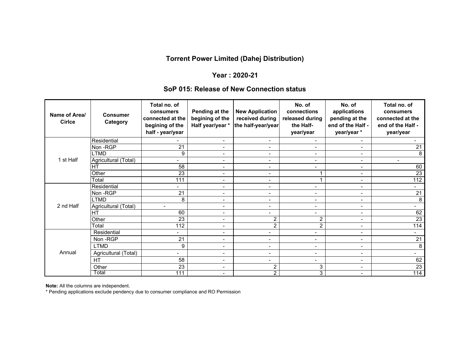### **Torrent Power Limited (Dahej Distribution)**

#### **Year : 2020-21**

#### **SoP 015: Release of New Connection status**

| Name of Area/<br><b>Cirice</b> | <b>Consumer</b><br>Category | Total no. of<br>consumers<br>connected at the<br>begining of the<br>half - year/year | Pending at the<br>begining of the<br>Half year/year * | <b>New Application</b><br>received during<br>the half-year/year | No. of<br>connections<br>released during<br>the Half-<br>year/year | No. of<br>applications<br>pending at the<br>end of the Half -<br>year/year* | Total no. of<br>consumers<br>connected at the<br>end of the Half -<br>year/year |
|--------------------------------|-----------------------------|--------------------------------------------------------------------------------------|-------------------------------------------------------|-----------------------------------------------------------------|--------------------------------------------------------------------|-----------------------------------------------------------------------------|---------------------------------------------------------------------------------|
|                                | Residential                 | Ξ.                                                                                   | $\blacksquare$                                        | $\overline{\phantom{0}}$                                        | $\blacksquare$                                                     | $\blacksquare$                                                              |                                                                                 |
|                                | Non-RGP                     | 21                                                                                   | $\overline{\phantom{a}}$                              | $\overline{\phantom{a}}$                                        | $\blacksquare$                                                     | $\blacksquare$                                                              | 21                                                                              |
|                                | <b>LTMD</b>                 | 9                                                                                    | $\blacksquare$                                        | $\overline{\phantom{a}}$                                        | $\blacksquare$                                                     | $\blacksquare$                                                              | 8                                                                               |
| 1 st Half                      | Agricultural (Total)        | $\blacksquare$                                                                       | $\blacksquare$                                        | $\overline{\phantom{a}}$                                        | $\blacksquare$                                                     | $\blacksquare$                                                              | $\blacksquare$                                                                  |
|                                | HT                          | 58                                                                                   | $\blacksquare$                                        | $\blacksquare$                                                  | $\qquad \qquad \blacksquare$                                       | $\blacksquare$                                                              | 60                                                                              |
|                                | Other                       | $\overline{23}$                                                                      | $\blacksquare$                                        | $\blacksquare$                                                  |                                                                    | $\overline{\phantom{a}}$                                                    | $\overline{23}$                                                                 |
|                                | Total                       | 111                                                                                  | $\blacksquare$                                        | $\blacksquare$                                                  | 1                                                                  | $\blacksquare$                                                              | 112                                                                             |
|                                | Residential                 |                                                                                      | $\blacksquare$                                        | $\overline{\phantom{a}}$                                        | $\blacksquare$                                                     | $\overline{\phantom{a}}$                                                    |                                                                                 |
|                                | Non-RGP                     | 21                                                                                   | $\blacksquare$                                        | $\blacksquare$                                                  | $\blacksquare$                                                     | $\blacksquare$                                                              | $\overline{21}$                                                                 |
|                                | <b>LTMD</b>                 | 8                                                                                    | $\blacksquare$                                        | $\overline{\phantom{a}}$                                        | $\qquad \qquad \blacksquare$                                       | $\qquad \qquad \blacksquare$                                                | 8                                                                               |
| 2 nd Half                      | Agricultural (Total)        | $\blacksquare$                                                                       | $\overline{\phantom{a}}$                              | $\overline{\phantom{a}}$                                        | $\overline{\phantom{a}}$                                           | $\blacksquare$                                                              |                                                                                 |
|                                | HT                          | 60                                                                                   | $\overline{\phantom{a}}$                              | $\overline{\phantom{a}}$                                        | $\overline{\phantom{a}}$                                           | $\blacksquare$                                                              | 62                                                                              |
|                                | Other                       | 23                                                                                   | $\overline{\phantom{a}}$                              | $\overline{2}$                                                  | $\overline{c}$                                                     | $\blacksquare$                                                              | $\overline{23}$                                                                 |
|                                | Total                       | 112                                                                                  | $\overline{\phantom{a}}$                              | $\overline{2}$                                                  | 2                                                                  | $\overline{\phantom{a}}$                                                    | 114                                                                             |
|                                | Residential                 | $\blacksquare$                                                                       | $\blacksquare$                                        | $\overline{\phantom{0}}$                                        | $\blacksquare$                                                     | $\blacksquare$                                                              | $\overline{\phantom{0}}$                                                        |
|                                | Non-RGP                     | 21                                                                                   | $\blacksquare$                                        | $\overline{\phantom{a}}$                                        | $\overline{\phantom{a}}$                                           | $\overline{\phantom{a}}$                                                    | 21                                                                              |
|                                | <b>LTMD</b>                 | 9                                                                                    | $\overline{\phantom{a}}$                              | $\overline{\phantom{a}}$                                        | $\blacksquare$                                                     | $\overline{\phantom{a}}$                                                    | 8                                                                               |
| Annual                         | Agricultural (Total)        |                                                                                      | $\blacksquare$                                        | $\overline{\phantom{a}}$                                        | $\blacksquare$                                                     | $\overline{\phantom{a}}$                                                    |                                                                                 |
|                                | <b>HT</b>                   | 58                                                                                   | $\blacksquare$                                        | $\blacksquare$                                                  | $\qquad \qquad \blacksquare$                                       | $\blacksquare$                                                              | 62                                                                              |
|                                | Other                       | 23                                                                                   | $\blacksquare$                                        | $\overline{2}$                                                  | 3                                                                  | $\overline{\phantom{a}}$                                                    | 23                                                                              |
|                                | Total                       | 111                                                                                  | $\blacksquare$                                        | $\overline{2}$                                                  | 3                                                                  | $\overline{\phantom{a}}$                                                    | 114                                                                             |

**Note:** All the columns are independent.

\* Pending applications exclude pendency due to consumer compliance and RO Permission